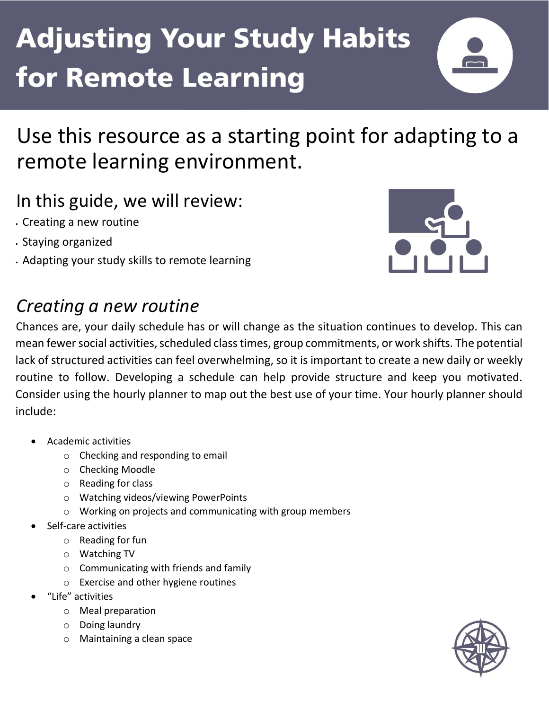

Use this resource as a starting point for adapting to a remote learning environment.

### In this guide, we will review:

- Creating a new routine
- Staying organized
- Adapting your study skills to remote learning



### *Creating a new routine*

Chances are, your daily schedule has or will change as the situation continues to develop. This can mean fewer social activities, scheduled class times, group commitments, or work shifts. The potential lack of structured activities can feel overwhelming, so it is important to create a new daily or weekly routine to follow. Developing a schedule can help provide structure and keep you motivated. Consider using the hourly planner to map out the best use of your time. Your hourly planner should include:

- Academic activities
	- o Checking and responding to email
	- o Checking Moodle
	- o Reading for class
	- o Watching videos/viewing PowerPoints
	- o Working on projects and communicating with group members
- Self-care activities
	- o Reading for fun
	- o Watching TV
	- o Communicating with friends and family
	- o Exercise and other hygiene routines
- "Life" activities
	- o Meal preparation
	- o Doing laundry
	- o Maintaining a clean space

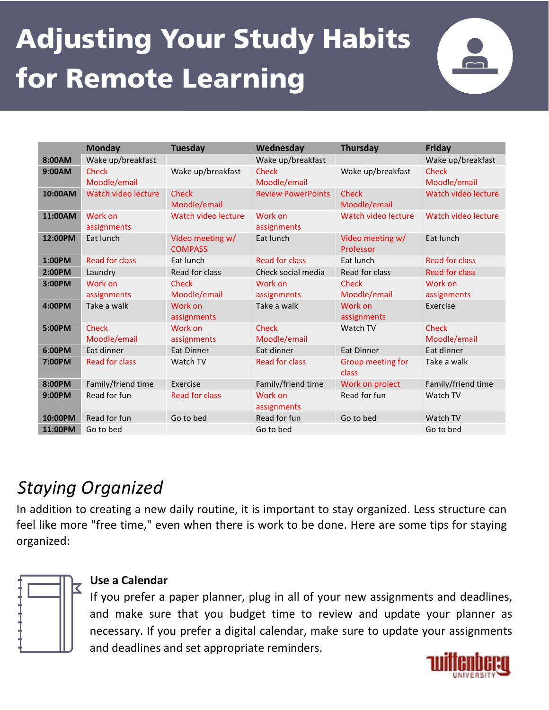

|         | <b>Monday</b>                | <b>Tuesday</b>                     | Wednesday                    | <b>Thursday</b>               | <b>Friday</b>                |
|---------|------------------------------|------------------------------------|------------------------------|-------------------------------|------------------------------|
| 8:00AM  | Wake up/breakfast            |                                    | Wake up/breakfast            |                               | Wake up/breakfast            |
| 9:00AM  | <b>Check</b><br>Moodle/email | Wake up/breakfast                  | <b>Check</b><br>Moodle/email | Wake up/breakfast             | <b>Check</b><br>Moodle/email |
| 10:00AM | Watch video lecture          | <b>Check</b><br>Moodle/email       | <b>Review PowerPoints</b>    | <b>Check</b><br>Moodle/email  | Watch video lecture          |
| 11:00AM | Work on<br>assignments       | Watch video lecture                | Work on<br>assignments       | Watch video lecture           | Watch video lecture          |
| 12:00PM | Eat lunch                    | Video meeting w/<br><b>COMPASS</b> | Eat lunch                    | Video meeting w/<br>Professor | Eat lunch                    |
| 1:00PM  | <b>Read for class</b>        | Eat lunch                          | <b>Read for class</b>        | Eat lunch                     | <b>Read for class</b>        |
| 2:00PM  | Laundry                      | Read for class                     | Check social media           | Read for class                | <b>Read for class</b>        |
| 3:00PM  | Work on<br>assignments       | Check<br>Moodle/email              | Work on<br>assignments       | Check<br>Moodle/email         | Work on<br>assignments       |
| 4:00PM  | Take a walk                  | Work on<br>assignments             | Take a walk                  | Work on<br>assignments        | Exercise                     |
| 5:00PM  | <b>Check</b><br>Moodle/email | Work on<br>assignments             | <b>Check</b><br>Moodle/email | Watch TV                      | <b>Check</b><br>Moodle/email |
| 6:00PM  | Eat dinner                   | <b>Eat Dinner</b>                  | Eat dinner                   | <b>Eat Dinner</b>             | Eat dinner                   |
| 7:00PM  | <b>Read for class</b>        | Watch TV                           | <b>Read for class</b>        | Group meeting for<br>class    | Take a walk                  |
| 8:00PM  | Family/friend time           | Exercise                           | Family/friend time           | Work on project               | Family/friend time           |
| 9:00PM  | Read for fun                 | Read for class                     | Work on<br>assignments       | Read for fun                  | Watch TV                     |
| 10:00PM | Read for fun                 | Go to bed                          | Read for fun                 | Go to bed                     | Watch TV                     |
| 11:00PM | Go to bed                    |                                    | Go to bed                    |                               | Go to bed                    |

### *Staying Organized*

In addition to creating a new daily routine, it is important to stay organized. Less structure can feel like more "free time," even when there is work to be done. Here are some tips for staying organized:



#### **Use a Calendar**

If you prefer a paper planner, plug in all of your new assignments and deadlines, and make sure that you budget time to review and update your planner as necessary. If you prefer a digital calendar, make sure to update your assignments and deadlines and set appropriate reminders.

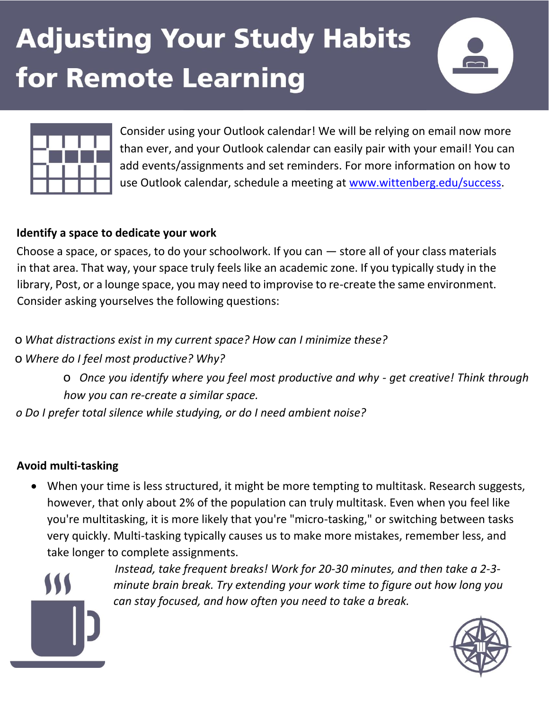



Consider using your Outlook calendar! We will be relying on email now more than ever, and your Outlook calendar can easily pair with your email! You can add events/assignments and set reminders. For more information on how to use Outlook calendar, schedule a meeting at [www.wittenberg.edu/success.](http://www.wittenberg.edu/success)

#### **Identify a space to dedicate your work**

Choose a space, or spaces, to do your schoolwork. If you can — store all of your class materials in that area. That way, your space truly feels like an academic zone. If you typically study in the library, Post, or a lounge space, you may need to improvise to re-create the same environment. Consider asking yourselves the following questions:

o *What distractions exist in my current space? How can I minimize these?*

o *Where do I feel most productive? Why?*

o *Once you identify where you feel most productive and why - get creative! Think through how you can re-create a similar space.*

*o Do I prefer total silence while studying, or do I need ambient noise?*

#### **Avoid multi-tasking**

• When your time is less structured, it might be more tempting to multitask. Research suggests, however, that only about 2% of the population can truly multitask. Even when you feel like you're multitasking, it is more likely that you're "micro-tasking," or switching between tasks very quickly. Multi-tasking typically causes us to make more mistakes, remember less, and take longer to complete assignments.



*Instead, take frequent breaks! Work for 20-30 minutes, and then take a 2-3 minute brain break. Try extending your work time to figure out how long you can stay focused, and how often you need to take a break.*

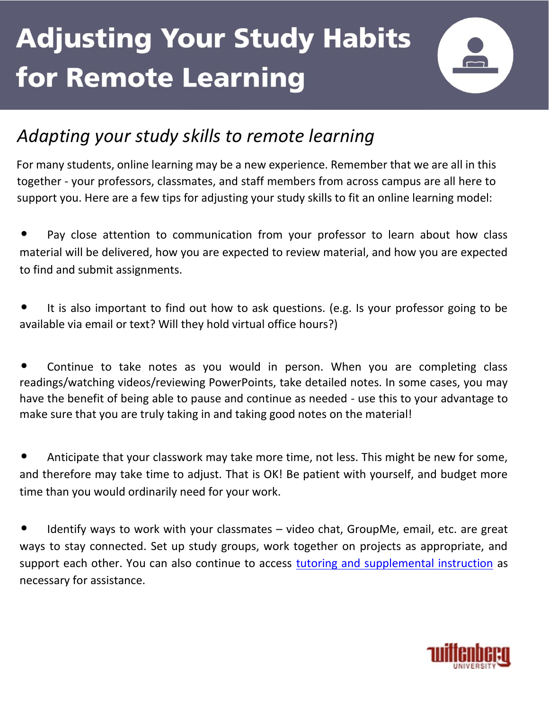

### *Adapting your study skills to remote learning*

For many students, online learning may be a new experience. Remember that we are all in this together - your professors, classmates, and staff members from across campus are all here to support you. Here are a few tips for adjusting your study skills to fit an online learning model:

Pay close attention to communication from your professor to learn about how class material will be delivered, how you are expected to review material, and how you are expected to find and submit assignments.

It is also important to find out how to ask questions. (e.g. Is your professor going to be available via email or text? Will they hold virtual office hours?)

Continue to take notes as you would in person. When you are completing class readings/watching videos/reviewing PowerPoints, take detailed notes. In some cases, you may have the benefit of being able to pause and continue as needed - use this to your advantage to make sure that you are truly taking in and taking good notes on the material!

• Anticipate that your classwork may take more time, not less. This might be new for some, and therefore may take time to adjust. That is OK! Be patient with yourself, and budget more time than you would ordinarily need for your work.

• Identify ways to work with your classmates – video chat, GroupMe, email, etc. are great ways to stay connected. Set up study groups, work together on projects as appropriate, and support each other. You can also continue to access [tutoring and supplemental instruction](https://www.wittenberg.edu/academics/studentsuccess/tutoring-success-ambassadors) as necessary for assistance.